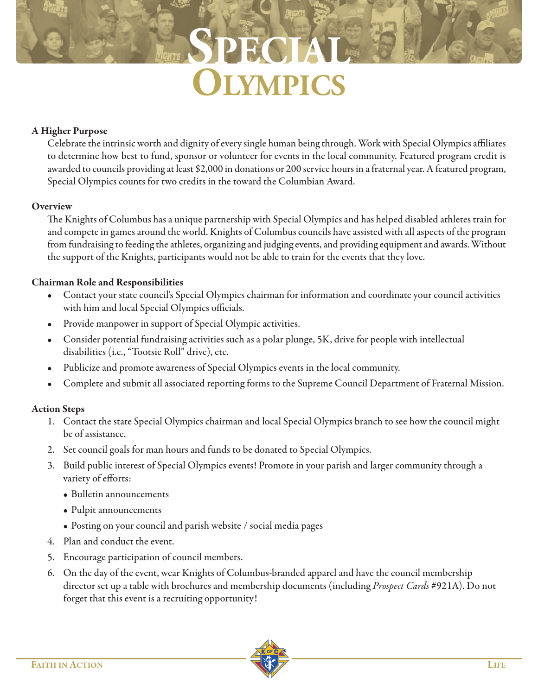**SPECIAL ZMPICS** 

## **A Higher Purpose**

Celebrate the intrinsic worth and dignity of every single human being through. Work with Special Olympics affiliates to determine how best to fund, sponsor or volunteer for events in the local community. Featured program credit is awarded to councils providing at least \$2,000 in donations or 200 service hours in a fraternal year. A featured program, Special Olympics counts for two credits in the toward the Columbian Award.

## **Overview**

The Knights of Columbus has a unique partnership with Special Olympics and has helped disabled athletes train for and compete in games around the world. Knights of Columbus councils have assisted with all aspects of the program from fundraising to feeding the athletes, organizing and judging events, and providing equipment and awards. Without the support of the Knights, participants would not be able to train for the events that they love.

## **Chairman Role and Responsibilities**

- Contact your state council's Special Olympics chairman for information and coordinate your council activities with him and local Special Olympics officials.
- Provide manpower in support of Special Olympic activities.
- Consider potential fundraising activities such as a polar plunge, 5K, drive for people with intellectual disabilities (i.e., "Tootsie Roll" drive), etc.
- Publicize and promote awareness of Special Olympics events in the local community.
- Complete and submit all associated reporting forms to the Supreme Council Department of Fraternal Mission.

## **Action Steps**

- 1. Contact the state Special Olympics chairman and local Special Olympics branch to see how the council might be of assistance.
- 2. Set council goals for man hours and funds to be donated to Special Olympics.
- 3. Build public interest of Special Olympics events! Promote in your parish and larger community through a variety of efforts:
	- Bulletin announcements
	- Pulpit announcements
	- Posting on your council and parish website / social media pages
- 4. Plan and conduct the event.
- 5. Encourage participation of council members.
- 6. On the day of the event, wear Knights of Columbus-branded apparel and have the council membership director set up a table with brochures and membership documents (including *Prospect Cards* #921A). Do not forget that this event is a recruiting opportunity!